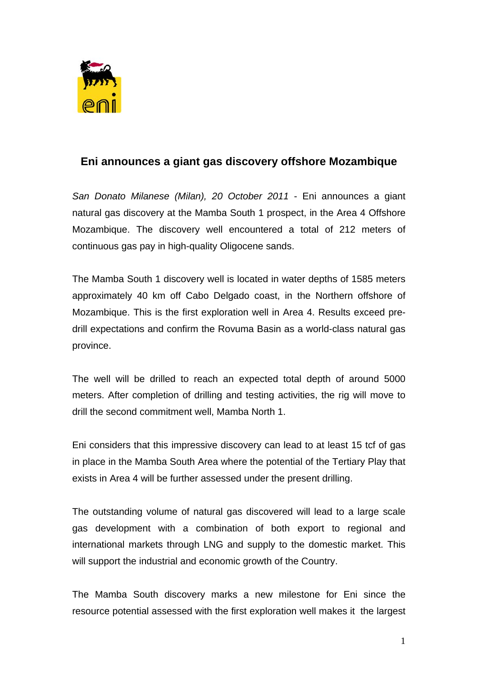

## **Eni announces a giant gas discovery offshore Mozambique**

*San Donato Milanese (Milan), 20 October 2011* - Eni announces a giant natural gas discovery at the Mamba South 1 prospect, in the Area 4 Offshore Mozambique. The discovery well encountered a total of 212 meters of continuous gas pay in high-quality Oligocene sands.

The Mamba South 1 discovery well is located in water depths of 1585 meters approximately 40 km off Cabo Delgado coast, in the Northern offshore of Mozambique. This is the first exploration well in Area 4. Results exceed predrill expectations and confirm the Rovuma Basin as a world-class natural gas province.

The well will be drilled to reach an expected total depth of around 5000 meters. After completion of drilling and testing activities, the rig will move to drill the second commitment well, Mamba North 1.

Eni considers that this impressive discovery can lead to at least 15 tcf of gas in place in the Mamba South Area where the potential of the Tertiary Play that exists in Area 4 will be further assessed under the present drilling.

The outstanding volume of natural gas discovered will lead to a large scale gas development with a combination of both export to regional and international markets through LNG and supply to the domestic market. This will support the industrial and economic growth of the Country.

The Mamba South discovery marks a new milestone for Eni since the resource potential assessed with the first exploration well makes it the largest